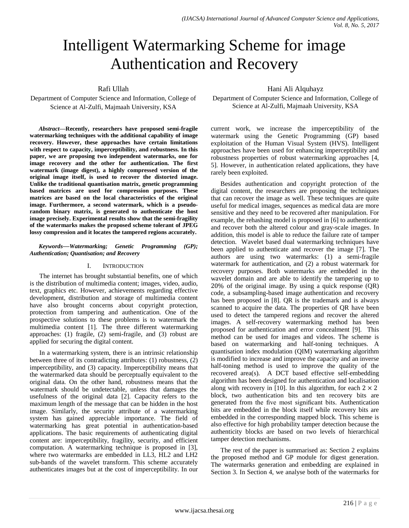# Intelligent Watermarking Scheme for image Authentication and Recovery

Rafi Ullah

# Department of Computer Science and Information, College of Science at Al-Zulfi, Majmaah University, KSA

*Abstract***—Recently, researchers have proposed semi-fragile watermarking techniques with the additional capability of image recovery. However, these approaches have certain limitations with respect to capacity, imperceptibility, and robustness. In this paper, we are proposing two independent watermarks, one for image recovery and the other for authentication. The first watermark (image digest), a highly compressed version of the original image itself, is used to recover the distorted image. Unlike the traditional quantisation matrix, genetic programming based matrices are used for compression purposes. These matrices are based on the local characteristics of the original image. Furthermore, a second watermark, which is a pseudorandom binary matrix, is generated to authenticate the host image precisely. Experimental results show that the semi-fragility of the watermarks makes the proposed scheme tolerant of JPEG lossy compression and it locates the tampered regions accurately.**

### *Keywords—Watermarking; Genetic Programming (GP); Authentication; Quantisation; and Recovery*

## I. INTRODUCTION

The internet has brought substantial benefits, one of which is the distribution of multimedia content; images, video, audio, text, graphics etc. However, achievements regarding effective development, distribution and storage of multimedia content have also brought concerns about copyright protection, protection from tampering and authentication. One of the prospective solutions to these problems is to watermark the multimedia content [1]. The three different watermarking approaches: (1) fragile, (2) semi-fragile, and (3) robust are applied for securing the digital content.

In a watermarking system, there is an intrinsic relationship between three of its contradicting attributes: (1) robustness, (2) imperceptibility, and (3) capacity. Imperceptibility means that the watermarked data should be perceptually equivalent to the original data. On the other hand, robustness means that the watermark should be undetectable, unless that damages the usefulness of the original data [2]. Capacity refers to the maximum length of the message that can be hidden in the host image. Similarly, the security attribute of a watermarking system has gained appreciable importance. The field of watermarking has great potential in authentication-based applications. The basic requirements of authenticating digital content are: imperceptibility, fragility, security, and efficient computation. A watermarking technique is proposed in [3], where two watermarks are embedded in LL3, HL2 and LH2 sub-bands of the wavelet transform. This scheme accurately authenticates images but at the cost of imperceptibility. In our

# Hani Ali Alquhayz

Department of Computer Science and Information, College of Science at Al-Zulfi, Majmaah University, KSA

current work, we increase the imperceptibility of the watermark using the Genetic Programming (GP) based exploitation of the Human Visual System (HVS). Intelligent approaches have been used for enhancing imperceptibility and robustness properties of robust watermarking approaches [4, 5]. However, in authentication related applications, they have rarely been exploited.

Besides authentication and copyright protection of the digital content, the researchers are proposing the techniques that can recover the image as well. These techniques are quite useful for medical images, sequences as medical data are more sensitive and they need to be recovered after manipulation. For example, the rehashing model is proposed in [6] to authenticate and recover both the altered colour and gray-scale images. In addition, this model is able to reduce the failure rate of tamper detection. Wavelet based dual watermarking techniques have been applied to authenticate and recover the image [7]. The authors are using two watermarks: (1) a semi-fragile watermark for authentication, and (2) a robust watermark for recovery purposes. Both watermarks are embedded in the wavelet domain and are able to identify the tampering up to  $20\%$  of the original image. By using a quick response  $(QR)$ code, a subsampling-based image authentication and recovery has been proposed in [8]. QR is the trademark and is always scanned to acquire the data. The properties of QR have been used to detect the tampered regions and recover the altered images. A self-recovery watermarking method has been proposed for authentication and error concealment [9]. This method can be used for images and videos. The scheme is based on watermarking and half-toning techniques. A quantisation index modulation (QIM) watermarking algorithm is modified to increase and improve the capacity and an inverse half-toning method is used to improve the quality of the recovered area(s). A DCT based effective self-embedding algorithm has been designed for authentication and localisation along with recovery in [10]. In this algorithm, for each  $2 \times 2$ block, two authentication bits and ten recovery bits are generated from the five most significant bits. Authentication bits are embedded in the block itself while recovery bits are embedded in the corresponding mapped block. This scheme is also effective for high probability tamper detection because the authenticity blocks are based on two levels of hierarchical tamper detection mechanisms.

The rest of the paper is summarised as: Section 2 explains the proposed method and GP module for digest generation. The watermarks generation and embedding are explained in Section 3. In Section 4, we analyse both of the watermarks for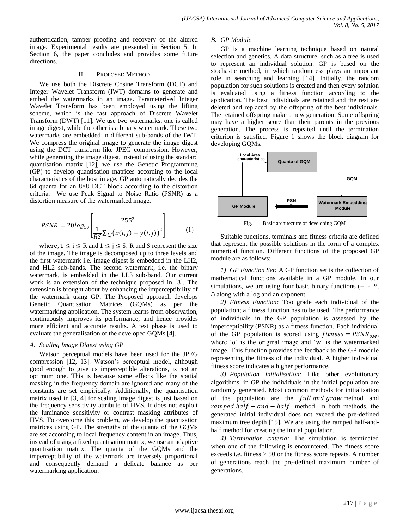authentication, tamper proofing and recovery of the altered image. Experimental results are presented in Section 5. In Section 6, the paper concludes and provides some future directions.

#### II. PROPOSED METHOD

We use both the Discrete Cosine Transform (DCT) and Integer Wavelet Transform (IWT) domains to generate and embed the watermarks in an image. Parameterised Integer Wavelet Transform has been employed using the lifting scheme, which is the fast approach of Discrete Wavelet Transform (DWT) [11]. We use two watermarks; one is called image digest, while the other is a binary watermark. These two watermarks are embedded in different sub-bands of the IWT. We compress the original image to generate the image digest using the DCT transform like JPEG compression. However, while generating the image digest, instead of using the standard quantisation matrix [12], we use the Genetic Programming (GP) to develop quantisation matrices according to the local characteristics of the host image. GP automatically decides the 64 quanta for an 8×8 DCT block according to the distortion criteria. We use Peak Signal to Noise Ratio (PSNR) as a distortion measure of the watermarked image.

$$
PSNR = 20log_{10}\left[\frac{255^2}{\frac{1}{RS}\sum_{i,j}(x(i,j) - y(i,j))^2}\right]
$$
(1)

where,  $1 \le i \le R$  and  $1 \le j \le S$ ; R and S represent the size of the image. The image is decomposed up to three levels and the first watermark i.e. image digest is embedded in the LH2, and HL2 sub-bands. The second watermark, i.e. the binary watermark, is embedded in the LL3 sub-band. Our current work is an extension of the technique proposed in [3]. The extension is brought about by enhancing the imperceptibility of the watermark using GP. The Proposed approach develops Genetic Quantisation Matrices (GQMs) as per the watermarking application. The system learns from observation, continuously improves its performance, and hence provides more efficient and accurate results. A test phase is used to evaluate the generalisation of the developed GQMs [4].

## *A. Scaling Image Digest using GP*

Watson perceptual models have been used for the JPEG compression [12, 13]. Watson"s perceptual model, although good enough to give us imperceptible alterations, is not an optimum one. This is because some effects like the spatial masking in the frequency domain are ignored and many of the constants are set empirically. Additionally, the quantisation matrix used in [3, 4] for scaling image digest is just based on the frequency sensitivity attribute of HVS. It does not exploit the luminance sensitivity or contrast masking attributes of HVS. To overcome this problem, we develop the quantisation matrices using GP. The strengths of the quanta of the GQMs are set according to local frequency content in an image. Thus, instead of using a fixed quantisation matrix, we use an adaptive quantisation matrix. The quanta of the GQMs and the imperceptibility of the watermark are inversely proportional and consequently demand a delicate balance as per watermarking application.

#### *B. GP Module*

GP is a machine learning technique based on natural selection and genetics. A data structure, such as a tree is used to represent an individual solution. GP is based on the stochastic method, in which randomness plays an important role in searching and learning [14]. Initially, the random population for such solutions is created and then every solution is evaluated using a fitness function according to the application. The best individuals are retained and the rest are deleted and replaced by the offspring of the best individuals. The retained offspring make a new generation. Some offspring may have a higher score than their parents in the previous generation. The process is repeated until the termination criterion is satisfied. Figure 1 shows the block diagram for developing GQMs.



Fig. 1. Basic architecture of developing GQM

Suitable functions, terminals and fitness criteria are defined that represent the possible solutions in the form of a complex numerical function. Different functions of the proposed GP module are as follows:

*1) GP Function Set:* A GP function set is the collection of mathematical functions available in a GP module. In our simulations, we are using four basic binary functions  $(+, -, *,$ /) along with a log and an exponent.

*2) Fitness Function:* Too grade each individual of the population; a fitness function has to be used. The performance of individuals in the GP population is assessed by the imperceptibility (PSNR) as a fitness function. Each individual of the GP population is scored using  $fitness = PSNR_{o,w}$ , where 'o' is the original image and 'w' is the watermarked image. This function provides the feedback to the GP module representing the fitness of the individual. A higher individual fitness score indicates a higher performance.

*3) Population initialisation:* Like other evolutionary algorithms, in GP the individuals in the initial population are randomly generated. Most common methods for initialisation of the population are the full and grow method and ramped half  $-$  and  $-$  half method. In both methods, the generated initial individual does not exceed the pre-defined maximum tree depth [15]. We are using the ramped half-andhalf method for creating the initial population.

*4) Termination criteria:* The simulation is terminated when one of the following is encountered. The fitness score exceeds i.e. fitness > 50 or the fitness score repeats. A number of generations reach the pre-defined maximum number of generations.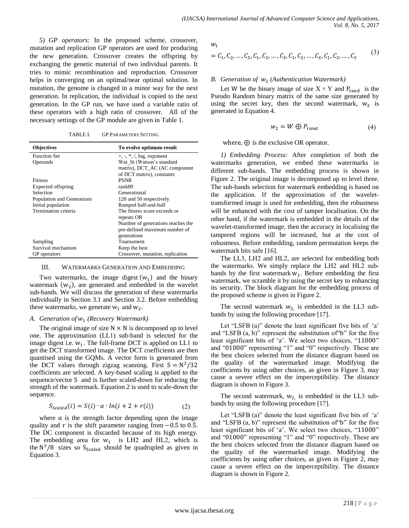*5) GP operators:* In the proposed scheme, crossover, mutation and replication GP operators are used for producing the new generation. Crossover creates the offspring by exchanging the genetic material of two individual parents. It tries to mimic recombination and reproduction. Crossover helps in converging on an optimal/near optimal solution. In mutation, the genome is changed in a minor way for the next generation. In replication, the individual is copied to the next generation. In the GP run, we have used a variable ratio of these operators with a high ratio of crossover. All of the necessary settings of the GP module are given in Table 1.

TABLE I. GP PARAMETERS SETTING

| <b>Objectives</b>          | To evolve optimum result          |
|----------------------------|-----------------------------------|
| <b>Function Set</b>        | $+, -, *, /, \log,$ exponent      |
| Operands                   | Wat St (Watson's standard         |
|                            | matrix), DCT_AC (AC component     |
|                            | of DCT matrix), constants         |
| Fitness                    | <b>PSNR</b>                       |
| Expected offspring         | rank89                            |
| Selection                  | Generational                      |
| Population and Generations | 120 and 50 respectively           |
| Initial population         | Ramped half-and-half              |
| Termination criteria       | The fitness score exceeds or      |
|                            | repeats OR                        |
|                            | Number of generations reaches the |
|                            | pre-defined maximum number of     |
|                            | generations                       |
| Sampling                   | Tournament                        |
| Survival mechanism         | Keep the best                     |
| GP operators               | Crossover, mutation, replication  |

#### III. WATERMARKS GENERATION AND EMBEDDING

Two watermarks, the image digest  $(w_1)$  and the binary watermark  $(w_2)$ , are generated and embedded in the wavelet sub-bands. We will discuss the generation of these watermarks individually in Section 3.1 and Section 3.2. Before embedding these watermarks, we generate  $w_1$  and  $w_2$ .

#### *A. Generation of (Recovery Watermark)*

The original image of size  $N \times N$  is decomposed up to level one. The approximation (LL1) sub-band is selected for the image digest i.e.  $w_1$ . The full-frame DCT is applied on LL1 to get the DCT transformed image. The DCT coefficients are then quantised using the GQMs. A vector form is generated from the DCT values through zigzag scanning. First  $S = N^2/$ coefficients are selected. A key-based scaling is applied to the sequence/vector S and is further scaled-down for reducing the strength of the watermark. Equation 2 is used to scale-down the sequence.

$$
S_{\text{Scaled}}(i) = S(i) \cdot \alpha \cdot \ln(i + 2 + r(i)) \tag{2}
$$

where  $\alpha$  is the strength factor depending upon the image quality and r is the shift parameter ranging from  $-0.5$  to 0.5. The DC component is discarded because of its high energy. The embedding area for  $w_1$  is LH2 and HL2, which is the  $N^2/8$  sizes so S<sub>Scaled</sub> should be quadrupled as given in Equation 3.

 $W_1$ 

$$
= C_1, C_2, ..., C_S, C_1, C_2, ..., C_S, C_1, C_2, ..., C_S, C_1, C_2, ..., C_S
$$
 (3)

#### B. Generation of  $w_2$  (Authentication Watermark)

Let W be the binary image of size  $X \times Y$  and  $P_{rand}$  is the Pseudo Random binary matrix of the same size generated by using the secret key, then the second watermark,  $w_2$  is generated in Equation 4.

$$
w_2 = W \oplus P_{rand} \tag{4}
$$

where,  $\oplus$  is the exclusive OR operator.

*1) Embedding Process:* After completion of both the watermarks generation, we embed these watermarks in different sub-bands. The embedding process is shown in Figure 2. The original image is decomposed up to level three. The sub-bands selection for watermark embedding is based on the application. If the approximation of the wavelettransformed image is used for embedding, then the robustness will be enhanced with the cost of tamper localisation. On the other hand, if the watermark is embedded in the details of the wavelet-transformed image, then the accuracy in localising the tampered regions will be increased, but at the cost of robustness. Before embedding, random permutation keeps the watermark bits safe [16].

The LL3, LH2 and HL2, are selected for embedding both the watermarks. We simply replace the LH2 and HL2 subbands by the first watermark  $w_1$ . Before embedding the first watermark, we scramble it by using the secret key to enhancing its security. The block diagram for the embedding process of the proposed scheme is given in Figure 2.

The second watermark  $w_2$  is embedded in the LL3 subbands by using the following procedure [17].

Let "LSFB (a)" denote the least significant five bits of  $a$ " and "LSFB  $(a, b)$ " represent the substitution of " $b$ " for the five least significant bits of 'a'. We select two choices, "11000" and "01000" representing "1" and "0" respectively. These are the best choices selected from the distance diagram based on the quality of the watermarked image. Modifying the coefficients by using other choices, as given in Figure 3, may cause a severe effect on the imperceptibility. The distance diagram is shown in Figure 3.

The second watermark,  $w_2$  is embedded in the LL3 subbands by using the following procedure [17].

Let "LSFB (a)" denote the least significant five bits of 'a' and "LSFB  $(a, b)$ " represent the substitution of " $b$ " for the five least significant bits of 'a'. We select two choices, "11000" and "01000" representing "1" and "0" respectively. These are the best choices selected from the distance diagram based on the quality of the watermarked image. Modifying the coefficients by using other choices, as given in Figure 2, may cause a severe effect on the imperceptibility. The distance diagram is shown in Figure 2.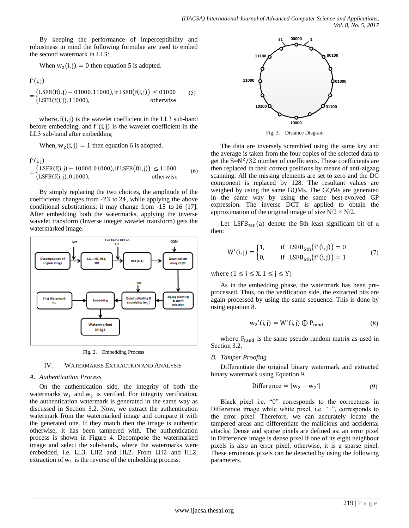By keeping the performance of imperceptibility and robustness in mind the following formulae are used to embed the second watermark in LL3:

When 
$$
w_2(i, j) = 0
$$
 then equation 5 is adopted.

$$
f'(i, j)
$$
  
= 
$$
\begin{cases} \text{LSFB}(f(i, j) - 01000, 11000), \text{if LSFB}(f(i, j)) \le 01000 \\ \text{LSFB}(f(i, j), 11000), \end{cases}
$$
 otherwise

where,  $f(i, j)$  is the wavelet coefficient in the LL3 sub-band before embedding, and  $f'(i, j)$  is the wavelet coefficient in the LL3 sub-band after embedding

 $(5)$ 

When, 
$$
w_2(i, j) = 1
$$
 then equation 6 is adopted.

$$
f'(i, j)
$$
  
= 
$$
\begin{cases} \text{LSFB}(f(i, j) + 10000, 01000), \text{if LSFB}(f(i, j)) \le 11000 \\ \text{LSFB}(f(i, j), 01000), \qquad \text{otherwise} \end{cases}
$$
 (6)

By simply replacing the two choices, the amplitude of the coefficients changes from -23 to 24, while applying the above conditional substitutions; it may change from  $-15$  to  $16$  [17]. After embedding both the watermarks, applying the inverse wavelet transform (Inverse integer wavelet transform) gets the watermarked image.



Fig. 2. Embedding Process

#### IV. WATERMARKS EXTRACTION AND ANALYSIS

## *A. Authentication Process*

On the authentication side, the integrity of both the watermarks  $w_1$  and  $w_2$  is verified. For integrity verification, the authentication watermark is generated in the same way as discussed in Section 3.2. Now, we extract the authentication watermark from the watermarked image and compare it with the generated one. If they match then the image is authentic otherwise, it has been tampered with. The authentication process is shown in Figure 4. Decompose the watermarked image and select the sub-bands, where the watermarks were embedded, i.e. LL3, LH2 and HL2. From LH2 and HL2, extraction of  $w_1$  is the reverse of the embedding process.



Fig. 3. Distance Diagram

The data are inversely scrambled using the same key and the average is taken from the four copies of the selected data to get the  $S = N^2/32$  number of coefficients. These coefficients are then replaced in their correct positions by means of anti-zigzag scanning. All the missing elements are set to zero and the DC component is replaced by 128. The resultant values are weighed by using the same GQMs. The GQMs are generated in the same way by using the same best-evolved GP expression. The inverse DCT is applied to obtain the approximation of the original image of size  $N/2 \times N/2$ .

Let  $LSFB<sub>5th</sub>(a)$  denote the 5th least significant bit of a then:

$$
W'(i, j) = \begin{cases} 1, & \text{if } LSFB_{5th}(f'(i, j)) = 0\\ 0, & \text{if } LSFB_{5th}(f'(i, j)) = 1 \end{cases}
$$
(7)

where  $(1 \le i \le X, 1 \le j \le Y)$ 

As in the embedding phase, the watermark has been preprocessed. Thus, on the verification side, the extracted bits are again processed by using the same sequence. This is done by using equation 8.

$$
w_2'(i,j) = W'(i,j) \oplus P_{rand}
$$
 (8)

where,  $P_{rand}$  is the same pseudo random matrix as used in Section 3.2.

## *B. Tamper Proofing*

Differentiate the original binary watermark and extracted binary watermark using Equation 9.

$$
Difference = |w_2 - w_2'|
$$
 (9)

Black pixel i.e. "0" corresponds to the correctness in Difference image while white pixel, i.e. "1", corresponds to the error pixel. Therefore, we can accurately locate the tampered areas and differentiate the malicious and accidental attacks. Dense and sparse pixels are defined as: an error pixel in Difference image is dense pixel if one of its eight neighbour pixels is also an error pixel; otherwise, it is a sparse pixel. These erroneous pixels can be detected by using the following parameters.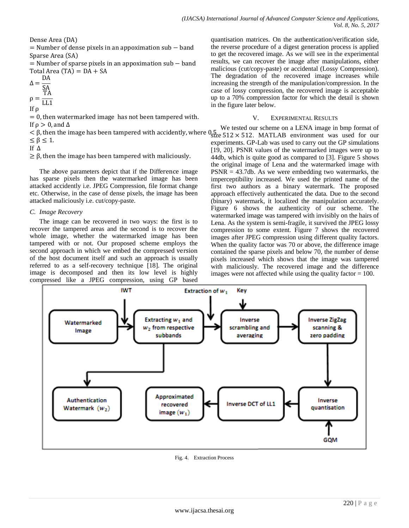Dense Area (DA)

 $=$  Number of dense pixels in an appoximation sub  $-$  band Sparse Area (SA)

 $=$  Number of sparse pixels in an appoximation sub  $-$  band Total Area  $(TA) = DA + SA$ 

$$
\Delta = \frac{\text{DA}}{\text{SA}}
$$

$$
\rho = \frac{\text{TA}}{\text{LL1}}
$$

$$
\text{If } \rho
$$

 $= 0$ , then watermarked image has not been tampered with. If  $\rho > 0$ , and  $\Delta$ 

 $< \beta$ , then the image has been tampered with accidently, where  $0.5$   $\frac{1}{12}$   $\times$  512  $\times$  512. MATLAB environment was used for our  $\leq \beta \leq 1$ .

If  $\Delta$ 

 $\geq \beta$ , then the image has been tampered with maliciously.

The above parameters depict that if the Difference image has sparse pixels then the watermarked image has been attacked accidently i.e. JPEG Compression, file format change etc. Otherwise, in the case of dense pixels, the image has been attacked maliciously i.e. cut/copy-paste.

## *C. Image Recovery*

The image can be recovered in two ways: the first is to recover the tampered areas and the second is to recover the whole image, whether the watermarked image has been tampered with or not. Our proposed scheme employs the second approach in which we embed the compressed version of the host document itself and such an approach is usually referred to as a self-recovery technique [18]. The original image is decomposed and then its low level is highly compressed like a JPEG compression, using GP based quantisation matrices. On the authentication/verification side, the reverse procedure of a digest generation process is applied to get the recovered image. As we will see in the experimental results, we can recover the image after manipulations, either malicious (cut/copy-paste) or accidental (Lossy Compression). The degradation of the recovered image increases while increasing the strength of the manipulation/compression. In the case of lossy compression, the recovered image is acceptable up to a 70% compression factor for which the detail is shown in the figure later below.

## V. EXPERIMENTAL RESULTS

We tested our scheme on a LENA image in bmp format of experiments. GP-Lab was used to carry out the GP simulations [19, 20]. PSNR values of the watermarked images were up to 44db, which is quite good as compared to [3]. Figure 5 shows the original image of Lena and the watermarked image with  $PSNR = 43.7db$ . As we were embedding two watermarks, the imperceptibility increased. We used the printed name of the first two authors as a binary watermark. The proposed approach effectively authenticated the data. Due to the second (binary) watermark, it localized the manipulation accurately. Figure 6 shows the authenticity of our scheme. The watermarked image was tampered with invisibly on the hairs of Lena. As the system is semi-fragile, it survived the JPEG lossy compression to some extent. Figure 7 shows the recovered images after JPEG compression using different quality factors. When the quality factor was 70 or above, the difference image contained the sparse pixels and below 70, the number of dense pixels increased which shows that the image was tampered with maliciously. The recovered image and the difference images were not affected while using the quality factor  $= 100$ .



Fig. 4. Extraction Process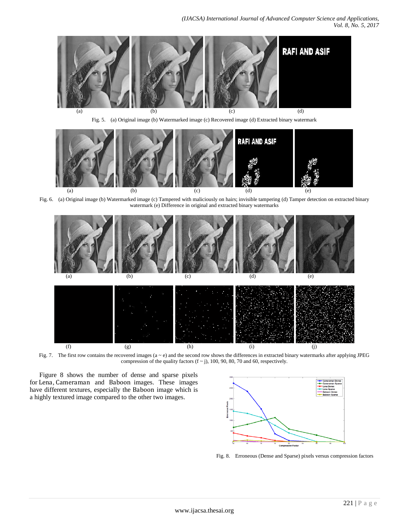

Fig. 5. (a) Original image (b) Watermarked image (c) Recovered image (d) Extracted binary watermark



Fig. 6. (a) Original image (b) Watermarked image (c) Tampered with maliciously on hairs; invisible tampering (d) Tamper detection on extracted binary watermark (e) Difference in original and extracted binary watermarks



Fig. 7. The first row contains the recovered images  $(a \sim e)$  and the second row shows the differences in extracted binary watermarks after applying JPEG compression of the quality factors  $(f \sim j)$ , 100, 90, 80, 70 and 60, respectively.

Figure 8 shows the number of dense and sparse pixels for Lena, Cameraman and Baboon images. These images have different textures, especially the Baboon image which is a highly textured image compared to the other two images.



Fig. 8. Erroneous (Dense and Sparse) pixels versus compression factors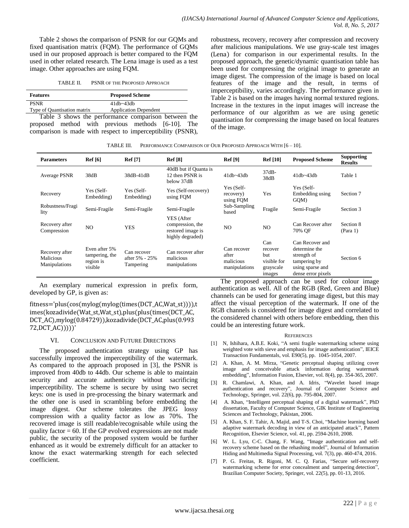Table 2 shows the comparison of PSNR for our GQMs and fixed quantisation matrix (FQM). The performance of GQMs used in our proposed approach is better compared to the FQM used in other related research. The Lena image is used as a test image. Other approaches are using FQM.

| TABLE II. | PSNR OF THE PROPOSED APPROACH |  |
|-----------|-------------------------------|--|
|           |                               |  |

| <b>Features</b>             | <b>Proposed Scheme</b>       |
|-----------------------------|------------------------------|
| <b>PSNR</b>                 | $41dh - 43dh$                |
| Type of Quantisation matrix | <b>Application Dependent</b> |
| _ _ _ _ _                   |                              |

Table 3 shows the performance comparison between the proposed method with previous methods [6-10]. The comparison is made with respect to imperceptibility (PSNR), robustness, recovery, recovery after compression and recovery after malicious manipulations. We use gray-scale test images (Lena) for comparison in our experimental results. In the proposed approach, the genetic/dynamic quantisation table has been used for compressing the original image to generate an image digest. The compression of the image is based on local features of the image and the result, in terms of imperceptibility, varies accordingly. The performance given in Table 2 is based on the images having normal textured regions. Increase in the textures in the input images will increase the performance of our algorithm as we are using genetic quantisation for compressing the image based on local features of the image.

TABLE III. PERFORMANCE COMPARISON OF OUR PROPOSED APPROACH WITH [6 – 10].

| <b>Parameters</b>                            | Ref[6]                                                  | <b>Ref</b> [7]                             | <b>Ref</b> [8]                                                          | <b>Ref</b> [9]                                     | <b>Ref</b> [10]                                             | <b>Proposed Scheme</b>                                                                                    | <b>Supporting</b><br><b>Results</b> |
|----------------------------------------------|---------------------------------------------------------|--------------------------------------------|-------------------------------------------------------------------------|----------------------------------------------------|-------------------------------------------------------------|-----------------------------------------------------------------------------------------------------------|-------------------------------------|
| Average PSNR                                 | 38dB                                                    | 38dB-41dB                                  | 40dB but if Quanta is<br>12 then PSNR is<br>below 37dB                  | $41dh - 43dh$                                      | 37dB-<br>38dB                                               | $41dh - 43dh$                                                                                             | Table 1                             |
| Recovery                                     | Yes (Self-<br>Embedding)                                | Yes (Self-<br>Embedding)                   | Yes (Self-recovery)<br>using FQM                                        | Yes (Self-<br>recovery)<br>using FQM               | Yes                                                         | Yes (Self-<br>Embedding using<br>GQM)                                                                     | Section 7                           |
| Robustness/Fragi<br>lity                     | Semi-Fragile                                            | Semi-Fragile                               | Semi-Fragile                                                            | Sub-Sampling<br>based                              | Fragile                                                     | Semi-Fragile                                                                                              | Section 3                           |
| Recovery after<br>Compression                | N <sub>O</sub>                                          | <b>YES</b>                                 | YES (After<br>compression, the<br>restored image is<br>highly degraded) | N <sub>O</sub>                                     | NO.                                                         | Can Recover after<br>70% OF                                                                               | Section 8<br>(Para 1)               |
| Recovery after<br>Malicious<br>Manipulations | Even after 5%<br>tampering, the<br>region is<br>visible | Can recover<br>after 5% - 25%<br>Tampering | Can recover after<br>malicious<br>manipulations                         | Can recover<br>after<br>malicious<br>manipulations | Can<br>recover<br>but<br>visible for<br>grayscale<br>images | Can Recover and<br>determine the<br>strength of<br>tampering by<br>using sparse and<br>dense error pixels | Section 6                           |

An exemplary numerical expression in prefix form, developed by GP, is given as:

fitness='plus(cos(mylog(mylog(times(DCT\_AC,Wat\_st)))),t imes(kozadivide(Wat\_st,Wat\_st),plus(plus(times(DCT\_AC, DCT\_AC),mylog(0.84729)),kozadivide(DCT\_AC,plus(0.993 72,DCT\_AC)))))'

#### VI. CONCLUSION AND FUTURE DIRECTIONS

The proposed authentication strategy using GP has successfully improved the imperceptibility of the watermark. As compared to the approach proposed in [3], the PSNR is improved from 40db to 44db. Our scheme is able to maintain security and accurate authenticity without sacrificing imperceptibility. The scheme is secure by using two secret keys: one is used in pre-processing the binary watermark and the other one is used in scrambling before embedding the image digest. Our scheme tolerates the JPEG lossy compression with a quality factor as low as 70%. The recovered image is still readable/recognisable while using the quality factor  $= 60$ . If the GP evolved expressions are not made public, the security of the proposed system would be further enhanced as it would be extremely difficult for an attacker to know the exact watermarking strength for each selected coefficient.

The proposed approach can be used for colour image authentication as well. All of the RGB (Red, Green and Blue) channels can be used for generating image digest, but this may affect the visual perception of the watermark. If one of the RGB channels is considered for image digest and correlated to the considered channel with others before embedding, then this could be an interesting future work.

#### **REFERENCES**

- [1] N, Ishihara, A.B.E. Koki, "A semi fragile watermarking scheme using weighted vote with sieve and emphasis for image authentication", IEICE Transaction Fundamentals, vol. E90(5), pp. 1045-1054, 2007.
- [2] A. Khan, A. M. Mirza, "Genetic perceptual shaping utilizing cover image and conceivable attack information during watermark embedding", Information Fusion, Elsevier, vol. 8(4), pp. 354-365, 2007.
- [3] R. Chamlawi, A. Khan, and A. Idris, "Wavelet based image authentication and recovery", Journal of Computer Science and Technology, Springer, vol. 22(6), pp. 795-804, 2007.
- [4] A. Khan, "Intelligent perceptual shaping of a digital watermark", PhD dissertation, Faculty of Computer Science, GIK Institute of Engineering Sciences and Technology, Pakistan, 2006.
- [5] A. Khan, S. F. Tahir, A. Majid, and T-S. Choi, "Machine learning based adaptive watermark decoding in view of an anticipated attack", Pattern Recognition, Elsevier Science, vol. 41, pp. 2594-2610, 2008.
- [6] W. L. Lyu, C-C. Chang, F. Wang, "Image authentication and selfrecovery scheme based on the rehashing model", Journal of Information Hiding and Multimedia Signal Processing, vol. 7(3), pp. 460-474, 2016.
- [7] P. G. Freitas, R. Rigoni, M. C. Q. Farias, "Secure self-recovery watermarking scheme for error concealment and tampering detection", Brazilian Computer Society, Springer, vol. 22(5), pp. 01-13, 2016.